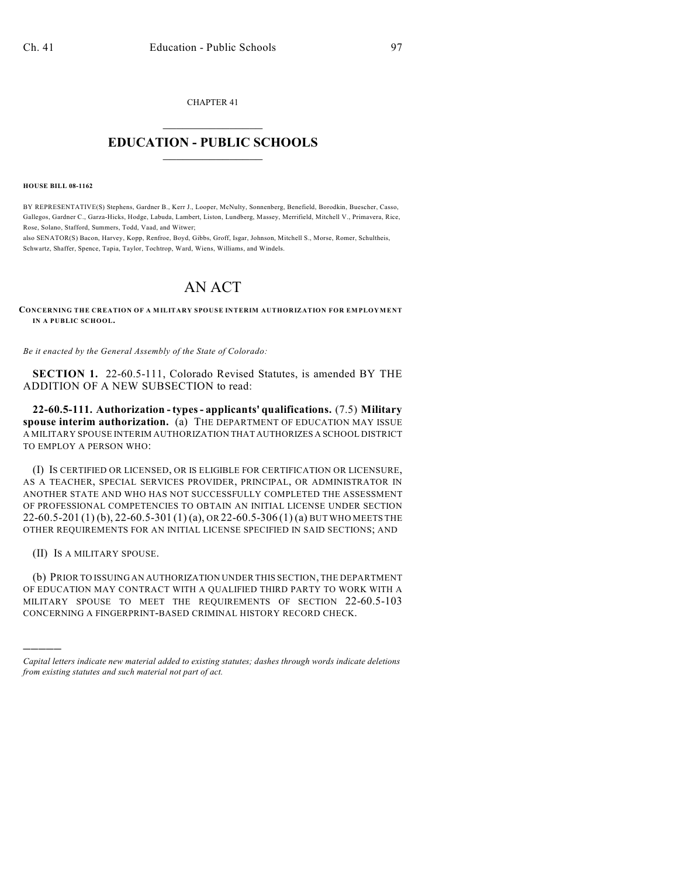CHAPTER 41  $\overline{\phantom{a}}$  . The set of the set of the set of the set of the set of the set of the set of the set of the set of the set of the set of the set of the set of the set of the set of the set of the set of the set of the set o

## **EDUCATION - PUBLIC SCHOOLS**  $\_$   $\_$   $\_$   $\_$   $\_$   $\_$   $\_$   $\_$   $\_$

**HOUSE BILL 08-1162**

BY REPRESENTATIVE(S) Stephens, Gardner B., Kerr J., Looper, McNulty, Sonnenberg, Benefield, Borodkin, Buescher, Casso, Gallegos, Gardner C., Garza-Hicks, Hodge, Labuda, Lambert, Liston, Lundberg, Massey, Merrifield, Mitchell V., Primavera, Rice, Rose, Solano, Stafford, Summers, Todd, Vaad, and Witwer;

also SENATOR(S) Bacon, Harvey, Kopp, Renfroe, Boyd, Gibbs, Groff, Isgar, Johnson, Mitchell S., Morse, Romer, Schultheis, Schwartz, Shaffer, Spence, Tapia, Taylor, Tochtrop, Ward, Wiens, Williams, and Windels.

## AN ACT

**CONCERNING THE CREATION OF A MILITARY SPOUSE INTERIM AUTHORIZATION FOR EMPLOYMENT IN A PUBLIC SCHOOL.**

*Be it enacted by the General Assembly of the State of Colorado:*

**SECTION 1.** 22-60.5-111, Colorado Revised Statutes, is amended BY THE ADDITION OF A NEW SUBSECTION to read:

**22-60.5-111. Authorization - types - applicants' qualifications.** (7.5) **Military spouse interim authorization.** (a) THE DEPARTMENT OF EDUCATION MAY ISSUE A MILITARY SPOUSE INTERIM AUTHORIZATION THAT AUTHORIZES A SCHOOL DISTRICT TO EMPLOY A PERSON WHO:

(I) IS CERTIFIED OR LICENSED, OR IS ELIGIBLE FOR CERTIFICATION OR LICENSURE, AS A TEACHER, SPECIAL SERVICES PROVIDER, PRINCIPAL, OR ADMINISTRATOR IN ANOTHER STATE AND WHO HAS NOT SUCCESSFULLY COMPLETED THE ASSESSMENT OF PROFESSIONAL COMPETENCIES TO OBTAIN AN INITIAL LICENSE UNDER SECTION 22-60.5-201 (1) (b), 22-60.5-301 (1) (a), OR 22-60.5-306 (1) (a) BUT WHO MEETS THE OTHER REQUIREMENTS FOR AN INITIAL LICENSE SPECIFIED IN SAID SECTIONS; AND

(II) IS A MILITARY SPOUSE.

)))))

(b) PRIOR TO ISSUING AN AUTHORIZATION UNDER THIS SECTION, THE DEPARTMENT OF EDUCATION MAY CONTRACT WITH A QUALIFIED THIRD PARTY TO WORK WITH A MILITARY SPOUSE TO MEET THE REQUIREMENTS OF SECTION 22-60.5-103 CONCERNING A FINGERPRINT-BASED CRIMINAL HISTORY RECORD CHECK.

*Capital letters indicate new material added to existing statutes; dashes through words indicate deletions from existing statutes and such material not part of act.*